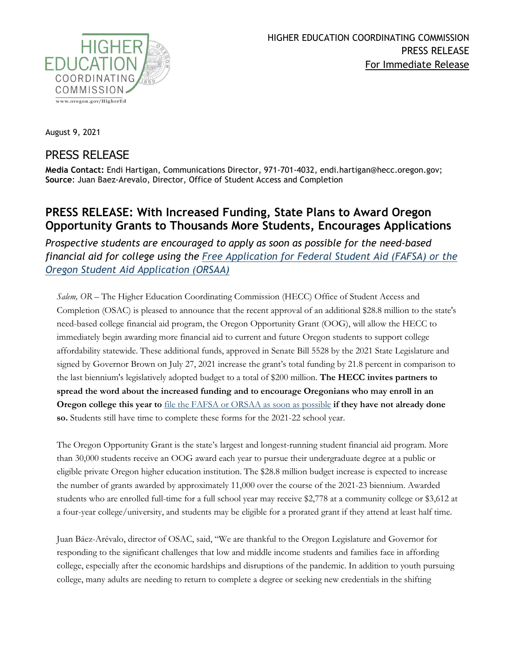

August 9, 2021

## PRESS RELEASE

**Media Contact:** Endi Hartigan, Communications Director, 971-701-4032, endi.hartigan@hecc.oregon.gov; **Source**: Juan Baez-Arevalo, Director, Office of Student Access and Completion

## **PRESS RELEASE: With Increased Funding, State Plans to Award Oregon Opportunity Grants to Thousands More Students, Encourages Applications**

*Prospective students are encouraged to apply as soon as possible for the need-based financial aid for college using the [Free Application for Federal Student Aid \(FAFSA\) or the](https://oregonstudentaid.gov/fafsa-orsaa.aspx)  [Oregon Student Aid Application \(ORSAA\)](https://oregonstudentaid.gov/fafsa-orsaa.aspx)*

*Salem, OR –* The Higher Education Coordinating Commission (HECC) Office of Student Access and Completion (OSAC) is pleased to announce that the recent approval of an additional \$28.8 million to the state's need-based college financial aid program, the Oregon Opportunity Grant (OOG), will allow the HECC to immediately begin awarding more financial aid to current and future Oregon students to support college affordability statewide. These additional funds, approved in Senate Bill 5528 by the 2021 State Legislature and signed by Governor Brown on July 27, 2021 increase the grant's total funding by 21.8 percent in comparison to the last biennium's legislatively adopted budget to a total of \$200 million. **The HECC invites partners to spread the word about the increased funding and to encourage Oregonians who may enroll in an Oregon college this year to** [file the FAFSA or ORSAA as soon as possible](https://oregonstudentaid.gov/fafsa-orsaa.aspx) **if they have not already done so.** Students still have time to complete these forms for the 2021-22 school year.

The Oregon Opportunity Grant is the state's largest and longest-running student financial aid program. More than 30,000 students receive an OOG award each year to pursue their undergraduate degree at a public or eligible private Oregon higher education institution. The \$28.8 million budget increase is expected to increase the number of grants awarded by approximately 11,000 over the course of the 2021-23 biennium. Awarded students who are enrolled full-time for a full school year may receive \$2,778 at a community college or \$3,612 at a four-year college/university, and students may be eligible for a prorated grant if they attend at least half time.

Juan Báez-Arévalo, director of OSAC, said, "We are thankful to the Oregon Legislature and Governor for responding to the significant challenges that low and middle income students and families face in affording college, especially after the economic hardships and disruptions of the pandemic. In addition to youth pursuing college, many adults are needing to return to complete a degree or seeking new credentials in the shifting